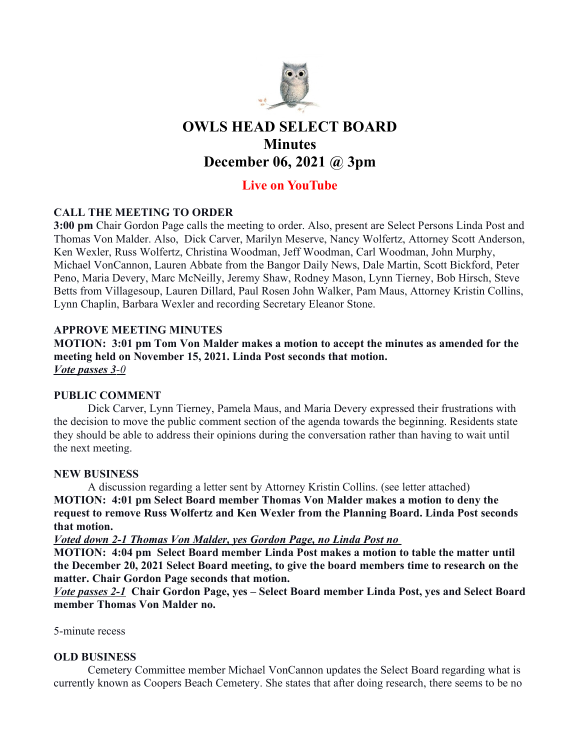

# OWLS HEAD SELECT BOARD **Minutes** December 06, 2021 @ 3pm

# Live on YouTube

# CALL THE MEETING TO ORDER

3:00 pm Chair Gordon Page calls the meeting to order. Also, present are Select Persons Linda Post and Thomas Von Malder. Also, Dick Carver, Marilyn Meserve, Nancy Wolfertz, Attorney Scott Anderson, Ken Wexler, Russ Wolfertz, Christina Woodman, Jeff Woodman, Carl Woodman, John Murphy, Michael VonCannon, Lauren Abbate from the Bangor Daily News, Dale Martin, Scott Bickford, Peter Peno, Maria Devery, Marc McNeilly, Jeremy Shaw, Rodney Mason, Lynn Tierney, Bob Hirsch, Steve Betts from Villagesoup, Lauren Dillard, Paul Rosen John Walker, Pam Maus, Attorney Kristin Collins, Lynn Chaplin, Barbara Wexler and recording Secretary Eleanor Stone.

# APPROVE MEETING MINUTES

MOTION: 3:01 pm Tom Von Malder makes a motion to accept the minutes as amended for the meeting held on November 15, 2021. Linda Post seconds that motion. Vote passes 3-0

#### PUBLIC COMMENT

Dick Carver, Lynn Tierney, Pamela Maus, and Maria Devery expressed their frustrations with the decision to move the public comment section of the agenda towards the beginning. Residents state they should be able to address their opinions during the conversation rather than having to wait until the next meeting.

#### NEW BUSINESS

A discussion regarding a letter sent by Attorney Kristin Collins. (see letter attached) MOTION: 4:01 pm Select Board member Thomas Von Malder makes a motion to deny the request to remove Russ Wolfertz and Ken Wexler from the Planning Board. Linda Post seconds that motion.

Voted down 2-1 Thomas Von Malder, yes Gordon Page, no Linda Post no

MOTION: 4:04 pm Select Board member Linda Post makes a motion to table the matter until the December 20, 2021 Select Board meeting, to give the board members time to research on the matter. Chair Gordon Page seconds that motion.

Vote passes 2-1 Chair Gordon Page, yes – Select Board member Linda Post, yes and Select Board member Thomas Von Malder no.

5-minute recess

#### OLD BUSINESS

Cemetery Committee member Michael VonCannon updates the Select Board regarding what is currently known as Coopers Beach Cemetery. She states that after doing research, there seems to be no